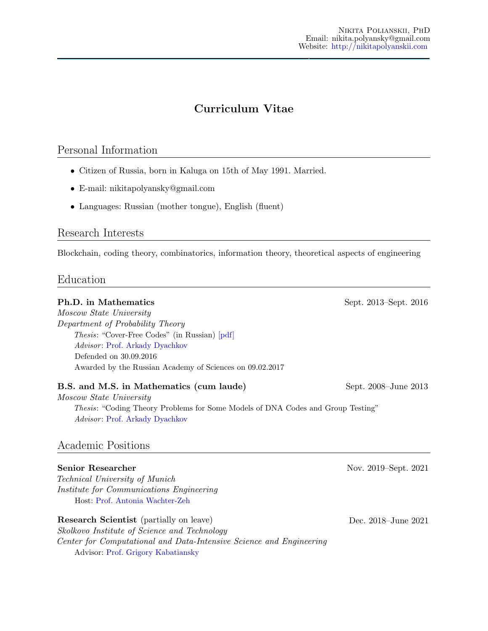# Curriculum Vitae

## Personal Information

- Citizen of Russia, born in Kaluga on 15th of May 1991. Married.
- E-mail: nikitapolyansky@gmail.com
- Languages: Russian (mother tongue), English (fluent)

#### Research Interests

Blockchain, coding theory, combinatorics, information theory, theoretical aspects of engineering

#### Education

# **Ph.D.** in Mathematics Sept. 2013–Sept. 2016 Moscow State University Department of Probability Theory Thesis: "Cover-Free Codes" (in Russian) [\[pdf\]](http://mech.math.msu.su/~snark/files/diss/0125diss.pdf) Advisor: [Prof. Arkady Dyachkov](http://new.math.msu.su/department/probab/staff/dyachkov.html) Defended on 30.09.2016 Awarded by the Russian Academy of Sciences on 09.02.2017 B.S. and M.S. in Mathematics (cum laude) Sept. 2008–June 2013 Moscow State University Thesis: "Coding Theory Problems for Some Models of DNA Codes and Group Testing" Advisor: [Prof. Arkady Dyachkov](http://new.math.msu.su/department/probab/staff/dyachkov.html) Academic Positions Senior Researcher Nov. 2019–Sept. 2021 Technical University of Munich Institute for Communications Engineering Host: [Prof. Antonia Wachter-Zeh](https://www.ei.tum.de/en/lnt/people/professors/wachter-zeh/) Research Scientist (partially on leave) Dec. 2018–June 2021 Skolkovo Institute of Science and Technology Center for Computational and Data-Intensive Science and Engineering Advisor: [Prof. Grigory Kabatiansky](https://scholar.google.ru/citations?user=FF_BqSIAAAAJ&hl=en&oi=sra)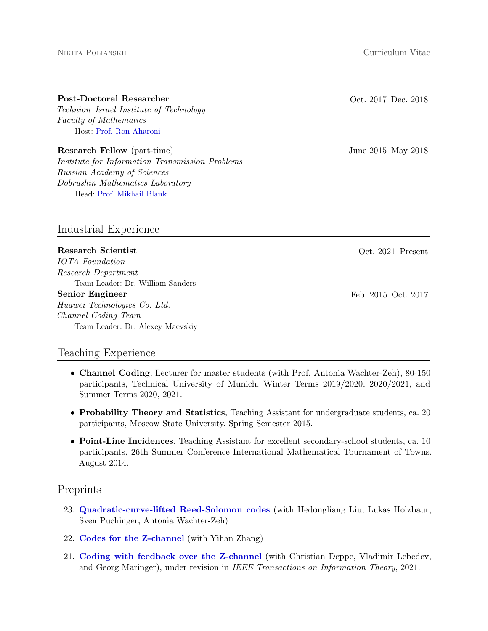#### Nikita Polianskii Curriculum Vitae

Technion–Israel Institute of Technology Faculty of Mathematics Host: [Prof. Ron Aharoni](https://raharoni.net.technion.ac.il/)

Research Fellow (part-time) June 2015–May 2018 Institute for Information Transmission Problems Russian Academy of Sciences Dobrushin Mathematics Laboratory Head: [Prof. Mikhail Blank](https://scholar.google.com/citations?user=l5fL5S4AAAAJ&hl=en)

Industrial Experience

Research Scientist Oct. 2021–Present IOTA Foundation Research Department Team Leader: Dr. William Sanders Senior Engineer Feb. 2015–Oct. 2017 Huawei Technologies Co. Ltd. Channel Coding Team Team Leader: Dr. Alexey Maevskiy

## Teaching Experience

- Channel Coding, Lecturer for master students (with Prof. Antonia Wachter-Zeh), 80-150 participants, Technical University of Munich. Winter Terms 2019/2020, 2020/2021, and Summer Terms 2020, 2021.
- Probability Theory and Statistics, Teaching Assistant for undergraduate students, ca. 20 participants, Moscow State University. Spring Semester 2015.
- Point-Line Incidences, Teaching Assistant for excellent secondary-school students, ca. 10 participants, 26th Summer Conference International Mathematical Tournament of Towns. August 2014.

## Preprints

- 23. [Quadratic-curve-lifted Reed-Solomon codes](https://https://arxiv.org/abs/2109.14478) (with Hedongliang Liu, Lukas Holzbaur, Sven Puchinger, Antonia Wachter-Zeh)
- 22. [Codes for the Z-channel](https://arxiv.org/abs/2105.01427.pdf) (with Yihan Zhang)
- 21. [Coding with feedback over the Z-channel](https://arxiv.org/pdf/2007.04026) (with Christian Deppe, Vladimir Lebedev, and Georg Maringer), under revision in IEEE Transactions on Information Theory, 2021.

#### Post-Doctoral Researcher Contract Contract Contract Contract Oct. 2017–Dec. 2018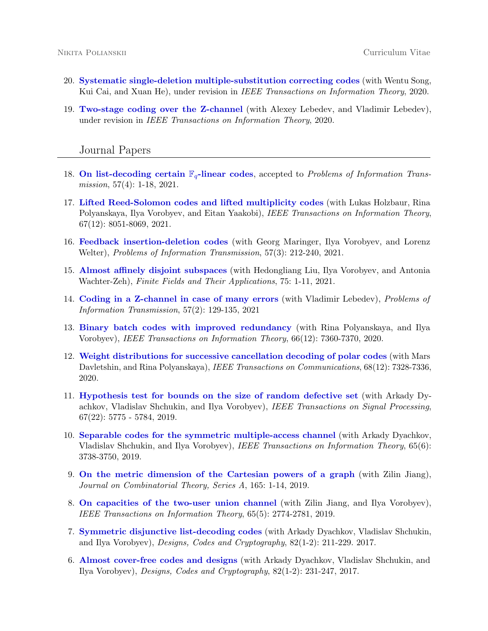- 20. [Systematic single-deletion multiple-substitution correcting codes](https://arxiv.org/abs/2006.11516) (with Wentu Song, Kui Cai, and Xuan He), under revision in IEEE Transactions on Information Theory, 2020.
- 19. [Two-stage coding over the Z-channel](https://arxiv.org/abs/2010.16362) (with Alexey Lebedev, and Vladimir Lebedev), under revision in IEEE Transactions on Information Theory, 2020.

#### Journal Papers

- 18. [On list-decoding certain](http://nikitapolyanskii.com/wp-content/uploads/2021/03/On_list_decoding_some_Fq_linear_codes.pdf)  $\mathbb{F}_q$ -linear codes, accepted to *Problems of Information Trans*mission, 57(4): 1-18, 2021.
- 17. [Lifted Reed-Solomon codes and lifted multiplicity codes](https://ieeexplore.ieee.org/abstract/document/9551886/) (with Lukas Holzbaur, Rina Polyanskaya, Ilya Vorobyev, and Eitan Yaakobi), IEEE Transactions on Information Theory, 67(12): 8051-8069, 2021.
- 16. [Feedback insertion-deletion codes](https://link.springer.com/article/10.1134/S0032946021030029) (with Georg Maringer, Ilya Vorobyev, and Lorenz Welter), Problems of Information Transmission, 57(3): 212-240, 2021.
- 15. [Almost affinely disjoint subspaces](https://doi.org/10.1016/j.ffa.2021.101879) (with Hedongliang Liu, Ilya Vorobyev, and Antonia Wachter-Zeh), Finite Fields and Their Applications, 75: 1-11, 2021.
- 14. [Coding in a Z-channel in case of many errors](https://doi.org/10.1134/S0032946021020022) (with Vladimir Lebedev), Problems of Information Transmission, 57(2): 129-135, 2021
- 13. [Binary batch codes with improved redundancy](https://doi.org/10.1109/TIT.2020.3013603) (with Rina Polyanskaya, and Ilya Vorobyev), IEEE Transactions on Information Theory, 66(12): 7360-7370, 2020.
- 12. [Weight distributions for successive cancellation decoding of polar codes](https://doi.org/10.1109/TCOMM.2020.3020959) (with Mars Davletshin, and Rina Polyanskaya), IEEE Transactions on Communications,  $68(12)$ : 7328-7336, 2020.
- 11. [Hypothesis test for bounds on the size of random defective set](https://doi.org/10.1109/TSP.2019.2940120) (with Arkady Dyachkov, Vladislav Shchukin, and Ilya Vorobyev), IEEE Transactions on Signal Processing,  $67(22): 5775 - 5784, 2019.$
- 10. [Separable codes for the symmetric multiple-access channel](https://doi.org/10.1109/TIT.2019.2893234) (with Arkady Dyachkov, Vladislav Shchukin, and Ilya Vorobyev), IEEE Transactions on Information Theory, 65(6): 3738-3750, 2019.
- 9. [On the metric dimension of the Cartesian powers of a graph](https://doi.org/10.1016/j.jcta.2019.01.002) (with Zilin Jiang), Journal on Combinatorial Theory, Series A, 165: 1-14, 2019.
- 8. [On capacities of the two-user union channel](https://doi.org/10.1109/TIT.2018.2889250) (with Zilin Jiang, and Ilya Vorobyev), IEEE Transactions on Information Theory, 65(5): 2774-2781, 2019.
- 7. [Symmetric disjunctive list-decoding codes](https://doi.org/10.1007/s10623-016-0278-4) (with Arkady Dyachkov, Vladislav Shchukin, and Ilya Vorobyev), Designs, Codes and Cryptography, 82(1-2): 211-229. 2017.
- 6. [Almost cover-free codes and designs](https://doi.org/10.1007/s10623-016-0279-3) (with Arkady Dyachkov, Vladislav Shchukin, and Ilya Vorobyev), Designs, Codes and Cryptography, 82(1-2): 231-247, 2017.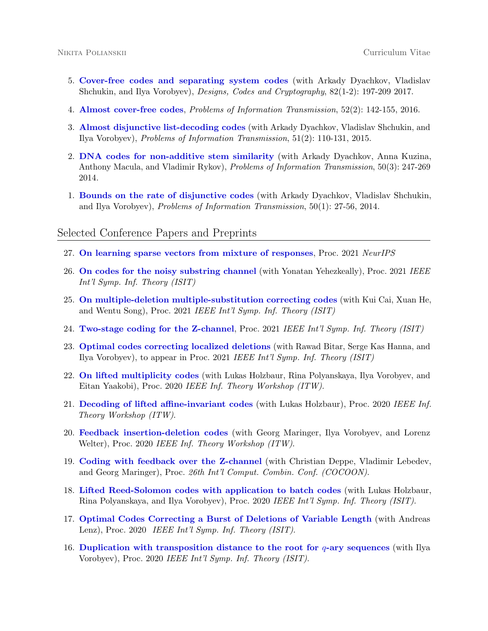- 5. [Cover-free codes and separating system codes](https://doi.org/10.1007/s10623-016-0265-9) (with Arkady Dyachkov, Vladislav Shchukin, and Ilya Vorobyev), Designs, Codes and Cryptography, 82(1-2): 197-209 2017.
- 4. [Almost cover-free codes](https://doi.org/10.1134/S0032946016020046), Problems of Information Transmission, 52(2): 142-155, 2016.
- 3. [Almost disjunctive list-decoding codes](https://doi.org/10.1134/S0032946015020039) (with Arkady Dyachkov, Vladislav Shchukin, and Ilya Vorobyev), Problems of Information Transmission, 51(2): 110-131, 2015.
- 2. [DNA codes for non-additive stem similarity](https://doi.org/10.1134/S0032946014030041) (with Arkady Dyachkov, Anna Kuzina, Anthony Macula, and Vladimir Rykov), Problems of Information Transmission, 50(3): 247-269 2014.
- 1. [Bounds on the rate of disjunctive codes](https://doi.org/10.1134/S0032946014010037) (with Arkady Dyachkov, Vladislav Shchukin, and Ilya Vorobyev), Problems of Information Transmission, 50(1): 27-56, 2014.

#### Selected Conference Papers and Preprints

- 27. [On learning sparse vectors from mixture of responses](https://proceedings.neurips.cc/paper/2021/hash/a5481cd6d7517aa3fc6476dc7d9019ab-Abstract.html), Proc. 2021 NeurIPS
- 26. [On codes for the noisy substring channel](https://doi.org/10.1109/ISIT45174.2021.9517943) (with Yonatan Yehezkeally), Proc. 2021 IEEE Int'l Symp. Inf. Theory (ISIT)
- 25. [On multiple-deletion multiple-substitution correcting codes](https://doi.org/10.1109/ISIT45174.2021.9517878) (with Kui Cai, Xuan He, and Wentu Song), Proc. 2021 IEEE Int'l Symp. Inf. Theory (ISIT)
- 24. [Two-stage coding for the Z-channel](https://doi.org/10.1109/ISIT45174.2021.9518015), Proc. 2021 IEEE Int'l Symp. Inf. Theory (ISIT)
- 23. [Optimal codes correcting localized deletions](https://doi.org/10.1109/ISIT45174.2021.9518196) (with Rawad Bitar, Serge Kas Hanna, and Ilya Vorobyev), to appear in Proc. 2021 IEEE Int'l Symp. Inf. Theory (ISIT)
- 22. [On lifted multiplicity codes](https://doi.org/10.1109/ITW46852.2021.9457625) (with Lukas Holzbaur, Rina Polyanskaya, Ilya Vorobyev, and Eitan Yaakobi), Proc. 2020 IEEE Inf. Theory Workshop (ITW).
- 21. [Decoding of lifted affine-invariant codes](https://doi.org/10.1109/ITW46852.2021.9457613) (with Lukas Holzbaur), Proc. 2020 IEEE Inf. Theory Workshop (ITW).
- 20. [Feedback insertion-deletion codes](https://doi.org/10.1109/ITW46852.2021.9457653) (with Georg Maringer, Ilya Vorobyev, and Lorenz Welter), Proc. 2020 IEEE Inf. Theory Workshop (ITW).
- 19. [Coding with feedback over the Z-channel](https://link.springer.com/chapter/10.1007/978-3-030-58150-3_8) (with Christian Deppe, Vladimir Lebedev, and Georg Maringer), Proc. 26th Int'l Comput. Combin. Conf. (COCOON).
- 18. [Lifted Reed-Solomon codes with application to batch codes](https://doi.org/10.1109/ISIT44484.2020.9174402) (with Lukas Holzbaur, Rina Polyanskaya, and Ilya Vorobyev), Proc. 2020 IEEE Int'l Symp. Inf. Theory (ISIT).
- 17. [Optimal Codes Correcting a Burst of Deletions of Variable Length](https://doi.org/10.1109/ISIT44484.2020.9174288) (with Andreas Lenz), Proc. 2020 IEEE Int'l Symp. Inf. Theory (ISIT).
- 16. [Duplication with transposition distance to the root for](https://arxiv.org/abs/2001.06242)  $q$ -ary sequences (with Ilya Vorobyev), Proc. 2020 IEEE Int'l Symp. Inf. Theory (ISIT).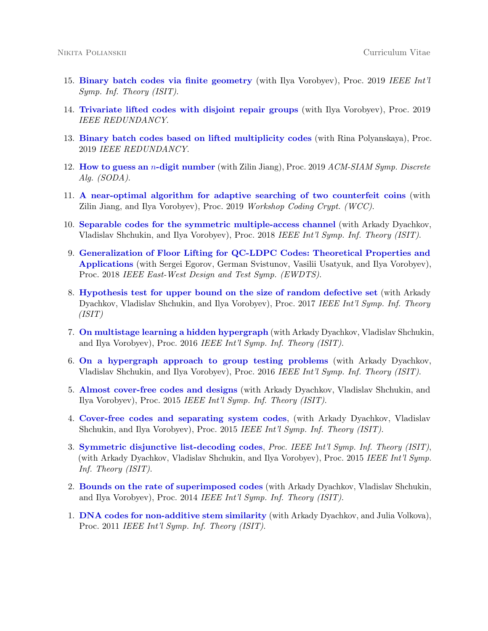- 15. [Binary batch codes via finite geometry](https://doi.org/10.1109/ISIT.2019.8849736) (with Ilya Vorobyev), Proc. 2019 IEEE Int'l Symp. Inf. Theory (ISIT).
- 14. [Trivariate lifted codes with disjoint repair groups](https://doi.org/10.1109/REDUNDANCY48165.2019.9003339) (with Ilya Vorobyev), Proc. 2019 IEEE REDUNDANCY.
- 13. [Binary batch codes based on lifted multiplicity codes](https://doi.org/10.1109/REDUNDANCY48165.2019.9003313) (with Rina Polyanskaya), Proc. 2019 IEEE REDUNDANCY.
- 12. [How to guess an](https://doi.org/10.1137/1.9781611975482.74) *n*-digit number (with Zilin Jiang), Proc. 2019 ACM-SIAM Symp. Discrete Alg. (SODA).
- 11. [A near-optimal algorithm for adaptive searching of two counterfeit coins](https://www.lebesgue.fr/sites/default/files/proceedings_WCC/WCC_2019_paper_65.pdf) (with Zilin Jiang, and Ilya Vorobyev), Proc. 2019 Workshop Coding Crypt. (WCC).
- 10. [Separable codes for the symmetric multiple-access channel](https://doi.org/10.1109/ISIT.2018.8437801) (with Arkady Dyachkov, Vladislav Shchukin, and Ilya Vorobyev), Proc. 2018 IEEE Int'l Symp. Inf. Theory (ISIT).
- 9. [Generalization of Floor Lifting for QC-LDPC Codes: Theoretical Properties and](https://doi.org/10.1109/EWDTS.2018.8524862) [Applications](https://doi.org/10.1109/EWDTS.2018.8524862) (with Sergei Egorov, German Svistunov, Vasilii Usatyuk, and Ilya Vorobyev), Proc. 2018 IEEE East-West Design and Test Symp. (EWDTS).
- 8. [Hypothesis test for upper bound on the size of random defective set](https://doi.org/10.1109/ISIT.2017.8006674) (with Arkady Dyachkov, Vladislav Shchukin, and Ilya Vorobyev), Proc. 2017 IEEE Int'l Symp. Inf. Theory (ISIT)
- 7. [On multistage learning a hidden hypergraph](https://doi.org/10.1109/ISIT.2016.7541485) (with Arkady Dyachkov, Vladislav Shchukin, and Ilya Vorobyev), Proc. 2016 IEEE Int'l Symp. Inf. Theory (ISIT).
- 6. [On a hypergraph approach to group testing problems](https://doi.org/10.1109/ISIT.2016.7541486) (with Arkady Dyachkov, Vladislav Shchukin, and Ilya Vorobyev), Proc. 2016 IEEE Int'l Symp. Inf. Theory (ISIT).
- 5. [Almost cover-free codes and designs](https://doi.org/10.1109/ISIT.2015.7282987) (with Arkady Dyachkov, Vladislav Shchukin, and Ilya Vorobyev), Proc. 2015 IEEE Int'l Symp. Inf. Theory (ISIT).
- 4. [Cover-free codes and separating system codes](https://doi.org/10.1109/ISIT.2015.7282986), (with Arkady Dyachkov, Vladislav Shchukin, and Ilya Vorobyev), Proc. 2015 IEEE Int'l Symp. Inf. Theory (ISIT).
- 3. [Symmetric disjunctive list-decoding codes](https://doi.org/10.1109/ISIT.2015.7282853), Proc. IEEE Int'l Symp. Inf. Theory (ISIT), (with Arkady Dyachkov, Vladislav Shchukin, and Ilya Vorobyev), Proc. 2015 IEEE Int'l Symp. Inf. Theory (ISIT).
- 2. [Bounds on the rate of superimposed codes](https://doi.org/10.1109/ISIT.2014.6875252) (with Arkady Dyachkov, Vladislav Shchukin, and Ilya Vorobyev), Proc. 2014 IEEE Int'l Symp. Inf. Theory (ISIT).
- 1. [DNA codes for non-additive stem similarity](https://doi.org/10.1109/ISIT.2011.6033807) (with Arkady Dyachkov, and Julia Volkova), Proc. 2011 IEEE Int'l Symp. Inf. Theory (ISIT).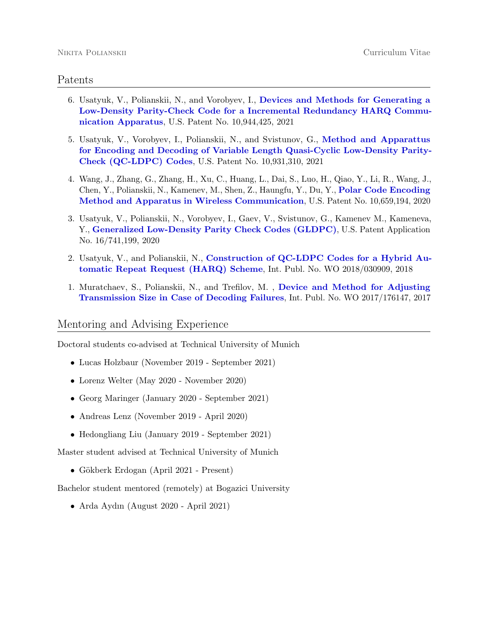#### Patents

- 6. Usatyuk, V., Polianskii, N., and Vorobyev, I., [Devices and Methods for Generating a](https://patents.google.com/patent/US10944425B2/en) [Low-Density Parity-Check Code for a Incremental Redundancy HARQ Commu](https://patents.google.com/patent/US10944425B2/en)[nication Apparatus](https://patents.google.com/patent/US10944425B2/en), U.S. Patent No. 10,944,425, 2021
- 5. Usatyuk, V., Vorobyev, I., Polianskii, N., and Svistunov, G., [Method and Apparattus](https://patents.google.com/patent/US10931310B2/en) [for Encoding and Decoding of Variable Length Quasi-Cyclic Low-Density Parity-](https://patents.google.com/patent/US10931310B2/en)[Check \(QC-LDPC\) Codes](https://patents.google.com/patent/US10931310B2/en), U.S. Patent No. 10,931,310, 2021
- 4. Wang, J., Zhang, G., Zhang, H., Xu, C., Huang, L., Dai, S., Luo, H., Qiao, Y., Li, R., Wang, J., Chen, Y., Polianskii, N., Kamenev, M., Shen, Z., Haungfu, Y., Du, Y., [Polar Code Encoding](https://patents.google.com/patent/US10659194B2/en) [Method and Apparatus in Wireless Communication](https://patents.google.com/patent/US10659194B2/en), U.S. Patent No. 10,659,194, 2020
- 3. Usatyuk, V., Polianskii, N., Vorobyev, I., Gaev, V., Svistunov, G., Kamenev M., Kameneva, Y., [Generalized Low-Density Parity Check Codes \(GLDPC\)](https://patents.google.com/patent/US20200153457A1/en), U.S. Patent Application No. 16/741,199, 2020
- 2. Usatyuk, V., and Polianskii, N., [Construction of QC-LDPC Codes for a Hybrid Au](https://patentscope.wipo.int/search/en/detail.jsf?docId=WO2018030909)[tomatic Repeat Request \(HARQ\) Scheme](https://patentscope.wipo.int/search/en/detail.jsf?docId=WO2018030909), Int. Publ. No. WO 2018/030909, 2018
- 1. Muratchaev, S., Polianskii, N., and Trefilov, M. , [Device and Method for Adjusting](https://patentscope.wipo.int/search/en/detail.jsf?docId=WO2017176147) [Transmission Size in Case of Decoding Failures](https://patentscope.wipo.int/search/en/detail.jsf?docId=WO2017176147), Int. Publ. No. WO 2017/176147, 2017

### Mentoring and Advising Experience

Doctoral students co-advised at Technical University of Munich

- Lucas Holzbaur (November 2019 September 2021)
- Lorenz Welter (May 2020 November 2020)
- Georg Maringer (January 2020 September 2021)
- Andreas Lenz (November 2019 April 2020)
- Hedongliang Liu (January 2019 September 2021)

Master student advised at Technical University of Munich

• Gökberk Erdogan (April 2021 - Present)

Bachelor student mentored (remotely) at Bogazici University

• Arda Aydın (August 2020 - April 2021)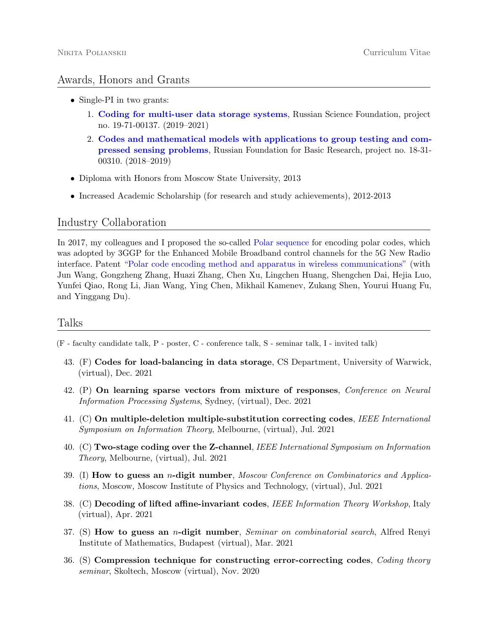## Awards, Honors and Grants

- Single-PI in two grants:
	- 1. [Coding for multi-user data storage systems](https://rscf.ru/en/contests/search-projects/19-71-00137/), Russian Science Foundation, project no. 19-71-00137. (2019–2021)
	- 2. [Codes and mathematical models with applications to group testing and com](http://search.rfbr.ru/)[pressed sensing problems](http://search.rfbr.ru/), Russian Foundation for Basic Research, project no. 18-31- 00310. (2018–2019)
- Diploma with Honors from Moscow State University, 2013
- Increased Academic Scholarship (for research and study achievements), 2012-2013

#### Industry Collaboration

In 2017, my colleagues and I proposed the so-called [Polar sequence](https://www.etsi.org/deliver/etsi_ts/138200_138299/138212/15.02.00_60/ts_138212v150200p.pdf) for encoding polar codes, which was adopted by 3GGP for the Enhanced Mobile Broadband control channels for the 5G New Radio interface. Patent ["Polar code encoding method and apparatus in wireless communications"](https://patents.google.com/patent/US10659194B2/en) (with Jun Wang, Gongzheng Zhang, Huazi Zhang, Chen Xu, Lingchen Huang, Shengchen Dai, Hejia Luo, Yunfei Qiao, Rong Li, Jian Wang, Ying Chen, Mikhail Kamenev, Zukang Shen, Yourui Huang Fu, and Yinggang Du).

## Talks

(F - faculty candidate talk, P - poster, C - conference talk, S - seminar talk, I - invited talk)

- 43. (F) Codes for load-balancing in data storage, CS Department, University of Warwick, (virtual), Dec. 2021
- 42. (P) On learning sparse vectors from mixture of responses, Conference on Neural Information Processing Systems, Sydney, (virtual), Dec. 2021
- 41. (C) On multiple-deletion multiple-substitution correcting codes, IEEE International Symposium on Information Theory, Melbourne, (virtual), Jul. 2021
- 40. (C) Two-stage coding over the Z-channel, IEEE International Symposium on Information Theory, Melbourne, (virtual), Jul. 2021
- 39. (I) How to guess an *n*-digit number, *Moscow Conference on Combinatorics and Applica*tions, Moscow, Moscow Institute of Physics and Technology, (virtual), Jul. 2021
- 38. (C) Decoding of lifted affine-invariant codes, IEEE Information Theory Workshop, Italy (virtual), Apr. 2021
- 37. (S) How to guess an *n*-digit number, *Seminar on combinatorial search*, Alfred Renyi Institute of Mathematics, Budapest (virtual), Mar. 2021
- 36. (S) Compression technique for constructing error-correcting codes, Coding theory seminar, Skoltech, Moscow (virtual), Nov. 2020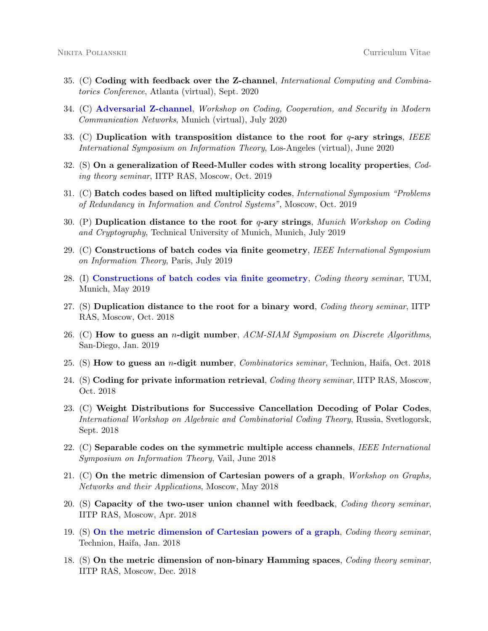- 35. (C) Coding with feedback over the Z-channel, International Computing and Combinatorics Conference, Atlanta (virtual), Sept. 2020
- 34. (C) [Adversarial Z-channel](https://www.ei.tum.de/en/lnt/events/2020-workshop-on-coding-cooperation-and-security-in-modern-communication-networks-coco/), Workshop on Coding, Cooperation, and Security in Modern Communication Networks, Munich (virtual), July 2020
- 33. (C) Duplication with transposition distance to the root for  $q$ -ary strings, IEEE International Symposium on Information Theory, Los-Angeles (virtual), June 2020
- 32. (S) On a generalization of Reed-Muller codes with strong locality properties, Coding theory seminar, IITP RAS, Moscow, Oct. 2019
- 31. (C) Batch codes based on lifted multiplicity codes, International Symposium "Problems of Redundancy in Information and Control Systems", Moscow, Oct. 2019
- 30. (P) Duplication distance to the root for  $q$ -ary strings, *Munich Workshop on Coding* and Cryptography, Technical University of Munich, Munich, July 2019
- 29. (C) Constructions of batch codes via finite geometry, IEEE International Symposium on Information Theory, Paris, July 2019
- 28. (I) [Constructions of batch codes via finite geometry](https://www.ei.tum.de/en/lnt/news-and-talks/archive/single-view-archive/article/talk-dr-nikita-polianskii-may-22-2019-at-100-pm-lnt-library-n2405/), Coding theory seminar, TUM, Munich, May 2019
- 27. (S) Duplication distance to the root for a binary word, Coding theory seminar, IITP RAS, Moscow, Oct. 2018
- 26. (C) How to guess an *n*-digit number,  $ACM-SIAM$  Symposium on Discrete Algorithms, San-Diego, Jan. 2019
- 25. (S) How to guess an *n*-digit number, *Combinatorics seminar*, Technion, Haifa, Oct. 2018
- 24. (S) Coding for private information retrieval, *Coding theory seminar*, IITP RAS, Moscow, Oct. 2018
- 23. (C) Weight Distributions for Successive Cancellation Decoding of Polar Codes, International Workshop on Algebraic and Combinatorial Coding Theory, Russia, Svetlogorsk, Sept. 2018
- 22. (C) Separable codes on the symmetric multiple access channels, IEEE International Symposium on Information Theory, Vail, June 2018
- 21. (C) On the metric dimension of Cartesian powers of a graph, *Workshop on Graphs*, Networks and their Applications, Moscow, May 2018
- 20. (S) Capacity of the two-user union channel with feedback, Coding theory seminar, IITP RAS, Moscow, Apr. 2018
- 19. (S) [On the metric dimension of Cartesian powers of a graph](https://codingtheory.cs.technion.ac.il/events/event/on-the-metric-dimension-of-cartesian-powers-of-a-graph/), Coding theory seminar, Technion, Haifa, Jan. 2018
- 18. (S) On the metric dimension of non-binary Hamming spaces, Coding theory seminar, IITP RAS, Moscow, Dec. 2018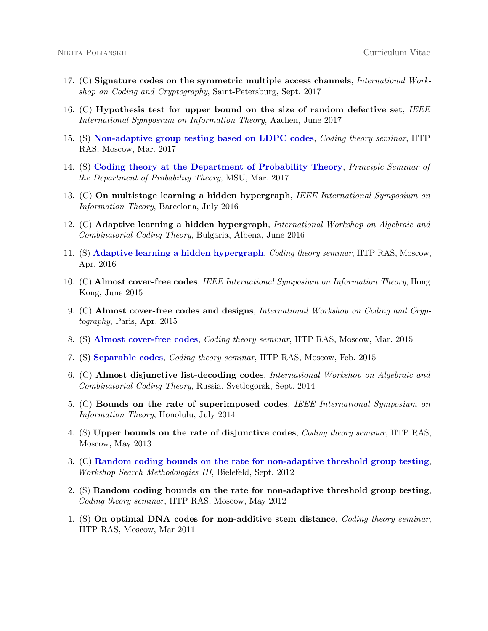- 17. (C) Signature codes on the symmetric multiple access channels, International Workshop on Coding and Cryptography, Saint-Petersburg, Sept. 2017
- 16. (C) Hypothesis test for upper bound on the size of random defective set, IEEE International Symposium on Information Theory, Aachen, June 2017
- 15. (S) [Non-adaptive group testing based on LDPC codes](http://www.mathnet.ru/php/seminars.phtml?&presentid=16924&option_lang=eng), Coding theory seminar, IITP RAS, Moscow, Mar. 2017
- 14. (S) [Coding theory at the Department of Probability Theory](http://www.mathnet.ru/php/seminars.phtml?&presentid=16713&option_lang=eng), Principle Seminar of the Department of Probability Theory, MSU, Mar. 2017
- 13. (C) On multistage learning a hidden hypergraph, IEEE International Symposium on Information Theory, Barcelona, July 2016
- 12. (C) Adaptive learning a hidden hypergraph, International Workshop on Algebraic and Combinatorial Coding Theory, Bulgaria, Albena, June 2016
- 11. (S) [Adaptive learning a hidden hypergraph](http://www.mathnet.ru/php/seminars.phtml?option_lang=rus&presentid=14220), Coding theory seminar, IITP RAS, Moscow, Apr. 2016
- 10. (C) Almost cover-free codes, IEEE International Symposium on Information Theory, Hong Kong, June 2015
- 9. (C) **Almost cover-free codes and designs**, *International Workshop on Coding and Cryp*tography, Paris, Apr. 2015
- 8. (S) [Almost cover-free codes](http://www.mathnet.ru/php/seminars.phtml?&presentid=11011&option_lang=eng), Coding theory seminar, IITP RAS, Moscow, Mar. 2015
- 7. (S) [Separable codes](http://www.mathnet.ru/php/seminars.phtml?&presentid=10822&option_lang=eng), Coding theory seminar, IITP RAS, Moscow, Feb. 2015
- 6. (C) Almost disjunctive list-decoding codes, International Workshop on Algebraic and Combinatorial Coding Theory, Russia, Svetlogorsk, Sept. 2014
- 5. (C) Bounds on the rate of superimposed codes, IEEE International Symposium on Information Theory, Honolulu, July 2014
- 4. (S) Upper bounds on the rate of disjunctive codes, Coding theory seminar, IITP RAS, Moscow, May 2013
- 3. (C) [Random coding bounds on the rate for non-adaptive threshold group testing](https://www.uni-bielefeld.de/(en)/ZiF/AG/2012/09-03-Cicalese.html), Workshop Search Methodologies III, Bielefeld, Sept. 2012
- 2. (S) Random coding bounds on the rate for non-adaptive threshold group testing, Coding theory seminar, IITP RAS, Moscow, May 2012
- 1. (S) On optimal DNA codes for non-additive stem distance, Coding theory seminar, IITP RAS, Moscow, Mar 2011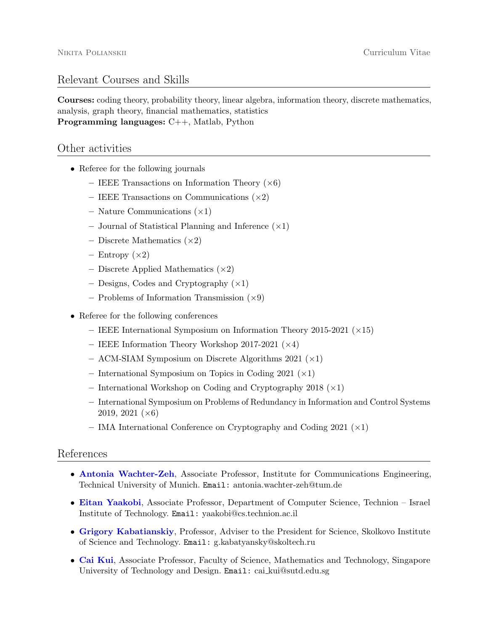### Relevant Courses and Skills

Courses: coding theory, probability theory, linear algebra, information theory, discrete mathematics, analysis, graph theory, financial mathematics, statistics Programming languages: C++, Matlab, Python

#### Other activities

- Referee for the following journals
	- IEEE Transactions on Information Theory  $(\times 6)$
	- IEEE Transactions on Communications  $(\times 2)$
	- Nature Communications  $(\times 1)$
	- Journal of Statistical Planning and Inference  $(\times 1)$
	- Discrete Mathematics  $(\times 2)$
	- Entropy  $(\times 2)$
	- Discrete Applied Mathematics  $(\times 2)$
	- Designs, Codes and Cryptography  $(\times 1)$
	- Problems of Information Transmission  $(\times 9)$
- Referee for the following conferences
	- $-$  IEEE International Symposium on Information Theory 2015-2021 ( $\times$ 15)
	- IEEE Information Theory Workshop 2017-2021  $(\times 4)$
	- ACM-SIAM Symposium on Discrete Algorithms 2021  $(\times 1)$
	- International Symposium on Topics in Coding 2021  $(\times 1)$
	- International Workshop on Coding and Cryptography 2018  $(\times 1)$
	- International Symposium on Problems of Redundancy in Information and Control Systems 2019, 2021  $(\times 6)$
	- IMA International Conference on Cryptography and Coding 2021  $(x1)$

#### References

- [Antonia Wachter-Zeh](https://www.ei.tum.de/en/lnt/people/professors/wachter-zeh/), Associate Professor, Institute for Communications Engineering, Technical University of Munich. Email: antonia.wachter-zeh@tum.de
- [Eitan Yaakobi](https://yaakobi.net.technion.ac.il/), Associate Professor, Department of Computer Science, Technion Israel Institute of Technology. Email: yaakobi@cs.technion.ac.il
- [Grigory Kabatianskiy](https://scholar.google.com/citations?user=FF_BqSIAAAAJ&hl=en), Professor, Adviser to the President for Science, Skolkovo Institute of Science and Technology. Email: g.kabatyansky@skoltech.ru
- [Cai Kui](https://smt.sutd.edu.sg/people/faculty/cai-kui), Associate Professor, Faculty of Science, Mathematics and Technology, Singapore University of Technology and Design. Email: cai kui@sutd.edu.sg